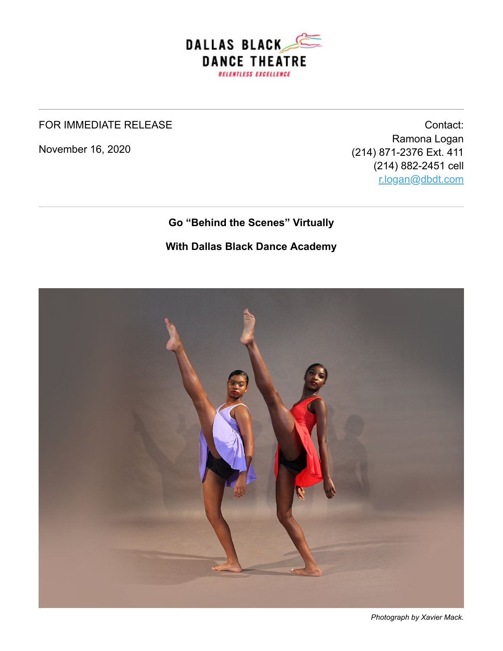

#### FOR IMMEDIATE RELEASE

November 16, 2020

Contact: Ramona Logan (214) 871-2376 Ext. 411 (214) 882-2451 cell [r.logan@dbdt.com](mailto:r.logan@dbdt.com)

#### **Go "Behind the Scenes" Virtually**

#### **With Dallas Black Dance Academy**



*Photograph by Xavier Mack.*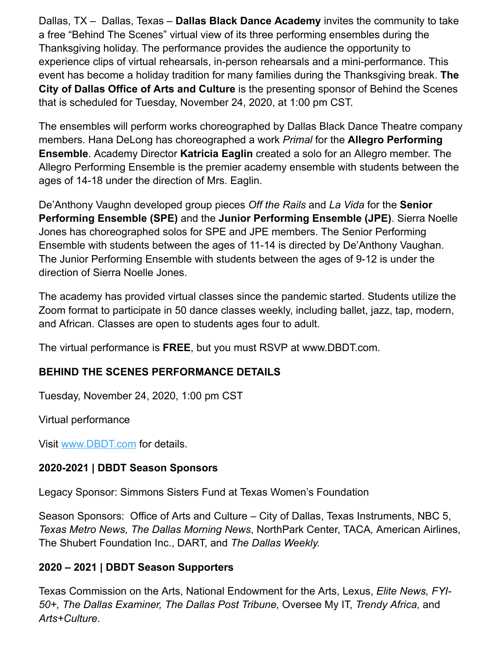Dallas, TX – Dallas, Texas – **Dallas Black Dance Academy** invites the community to take a free "Behind The Scenes" virtual view of its three performing ensembles during the Thanksgiving holiday. The performance provides the audience the opportunity to experience clips of virtual rehearsals, in-person rehearsals and a mini-performance. This event has become a holiday tradition for many families during the Thanksgiving break. **The City of Dallas Office of Arts and Culture** is the presenting sponsor of Behind the Scenes that is scheduled for Tuesday, November 24, 2020, at 1:00 pm CST.

The ensembles will perform works choreographed by Dallas Black Dance Theatre company members. Hana DeLong has choreographed a work *Primal* for the **Allegro Performing Ensemble**. Academy Director **Katricia Eaglin** created a solo for an Allegro member. The Allegro Performing Ensemble is the premier academy ensemble with students between the ages of 14-18 under the direction of Mrs. Eaglin.

De'Anthony Vaughn developed group pieces *Off the Rails* and *La Vida* for the **Senior Performing Ensemble (SPE)** and the **Junior Performing Ensemble (JPE)**. Sierra Noelle Jones has choreographed solos for SPE and JPE members. The Senior Performing Ensemble with students between the ages of 11-14 is directed by De'Anthony Vaughan. The Junior Performing Ensemble with students between the ages of 9-12 is under the direction of Sierra Noelle Jones.

The academy has provided virtual classes since the pandemic started. Students utilize the Zoom format to participate in 50 dance classes weekly, including ballet, jazz, tap, modern, and African. Classes are open to students ages four to adult.

The virtual performance is **FREE**, but you must RSVP at www.DBDT.com.

# **BEHIND THE SCENES PERFORMANCE DETAILS**

Tuesday, November 24, 2020, 1:00 pm CST

Virtual performance

Visit [www.DBDT.com](http://www.dbdt.com/) for details.

# **2020-2021 | DBDT Season Sponsors**

Legacy Sponsor: Simmons Sisters Fund at Texas Women's Foundation

Season Sponsors: Office of Arts and Culture – City of Dallas, Texas Instruments, NBC 5, *Texas Metro News, The Dallas Morning News*, NorthPark Center, TACA*,* American Airlines, The Shubert Foundation Inc., DART, and *The Dallas Weekly.*

# **2020 – 2021 | DBDT Season Supporters**

Texas Commission on the Arts, National Endowment for the Arts, Lexus, *Elite News, FYI-50+, The Dallas Examiner, The Dallas Post Tribune,* Oversee My IT, *Trendy Africa,* and *Arts+Culture*.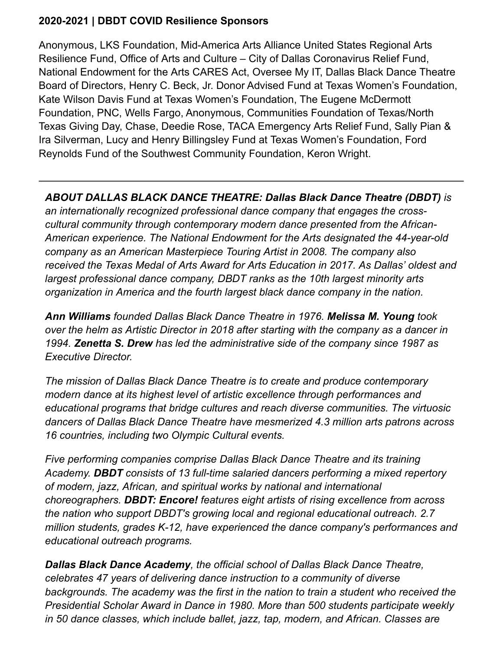# **2020-2021 | DBDT COVID Resilience Sponsors**

Anonymous, LKS Foundation, Mid-America Arts Alliance United States Regional Arts Resilience Fund, Office of Arts and Culture – City of Dallas Coronavirus Relief Fund, National Endowment for the Arts CARES Act, Oversee My IT, Dallas Black Dance Theatre Board of Directors, Henry C. Beck, Jr. Donor Advised Fund at Texas Women's Foundation, Kate Wilson Davis Fund at Texas Women's Foundation, The Eugene McDermott Foundation, PNC, Wells Fargo, Anonymous, Communities Foundation of Texas/North Texas Giving Day, Chase, Deedie Rose, TACA Emergency Arts Relief Fund, Sally Pian & Ira Silverman, Lucy and Henry Billingsley Fund at Texas Women's Foundation, Ford Reynolds Fund of the Southwest Community Foundation, Keron Wright.

*ABOUT DALLAS BLACK DANCE THEATRE: Dallas Black Dance Theatre (DBDT) is an internationally recognized professional dance company that engages the crosscultural community through contemporary modern dance presented from the African-American experience. The National Endowment for the Arts designated the 44-year-old company as an American Masterpiece Touring Artist in 2008. The company also received the Texas Medal of Arts Award for Arts Education in 2017. As Dallas' oldest and largest professional dance company, DBDT ranks as the 10th largest minority arts organization in America and the fourth largest black dance company in the nation.* 

*Ann Williams founded Dallas Black Dance Theatre in 1976. Melissa M. Young took over the helm as Artistic Director in 2018 after starting with the company as a dancer in 1994. Zenetta S. Drew has led the administrative side of the company since 1987 as Executive Director.*

*The mission of Dallas Black Dance Theatre is to create and produce contemporary modern dance at its highest level of artistic excellence through performances and educational programs that bridge cultures and reach diverse communities. The virtuosic dancers of Dallas Black Dance Theatre have mesmerized 4.3 million arts patrons across 16 countries, including two Olympic Cultural events.*

*Five performing companies comprise Dallas Black Dance Theatre and its training Academy. DBDT consists of 13 full-time salaried dancers performing a mixed repertory of modern, jazz, African, and spiritual works by national and international choreographers. DBDT: Encore! features eight artists of rising excellence from across the nation who support DBDT's growing local and regional educational outreach. 2.7 million students, grades K-12, have experienced the dance company's performances and educational outreach programs.* 

*Dallas Black Dance Academy, the official school of Dallas Black Dance Theatre, celebrates 47 years of delivering dance instruction to a community of diverse backgrounds. The academy was the first in the nation to train a student who received the Presidential Scholar Award in Dance in 1980. More than 500 students participate weekly in 50 dance classes, which include ballet, jazz, tap, modern, and African. Classes are*